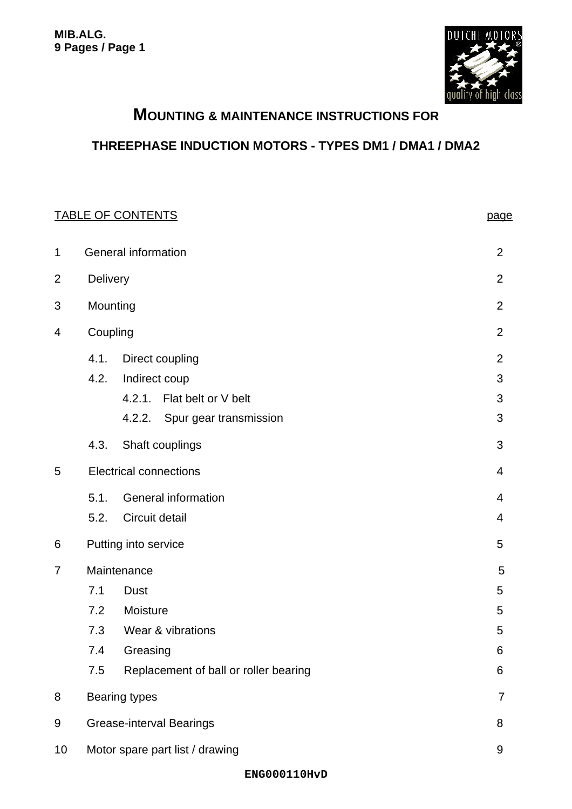

# **MOUNTING & MAINTENANCE INSTRUCTIONS FOR**

## **THREEPHASE INDUCTION MOTORS - TYPES DM1 / DMA1 / DMA2**

## TABLE OF CONTENTS **page**

| 1              | <b>General information</b>             |                                                                                                 |                               |  |  |
|----------------|----------------------------------------|-------------------------------------------------------------------------------------------------|-------------------------------|--|--|
| $\overline{2}$ | Delivery                               |                                                                                                 |                               |  |  |
| 3              |                                        | Mounting                                                                                        |                               |  |  |
| 4              | Coupling                               |                                                                                                 |                               |  |  |
|                | 4.1.<br>4.2.                           | Direct coupling<br>Indirect coup<br>4.2.1. Flat belt or V belt<br>4.2.2. Spur gear transmission | 2<br>$\mathfrak{S}$<br>3<br>3 |  |  |
|                | 4.3.                                   | Shaft couplings                                                                                 | 3                             |  |  |
| 5              |                                        | <b>Electrical connections</b>                                                                   | 4                             |  |  |
|                | 5.1.<br>5.2.                           | <b>General information</b><br>Circuit detail                                                    | $\overline{4}$<br>4           |  |  |
| 6              |                                        | Putting into service                                                                            | 5                             |  |  |
| 7              |                                        | Maintenance<br>5                                                                                |                               |  |  |
|                | 7.1                                    | <b>Dust</b>                                                                                     | 5                             |  |  |
|                | 7.2                                    | Moisture                                                                                        | 5                             |  |  |
|                | 7.3                                    | Wear & vibrations                                                                               | 5                             |  |  |
|                | 7.4                                    | Greasing                                                                                        | 6                             |  |  |
|                | 7.5                                    | Replacement of ball or roller bearing                                                           | 6                             |  |  |
| 8              | <b>Bearing types</b><br>$\overline{7}$ |                                                                                                 |                               |  |  |
| 9              | <b>Grease-interval Bearings</b><br>8   |                                                                                                 |                               |  |  |
| 10             | Motor spare part list / drawing<br>9   |                                                                                                 |                               |  |  |
|                |                                        |                                                                                                 |                               |  |  |

#### **ENG000110HvD**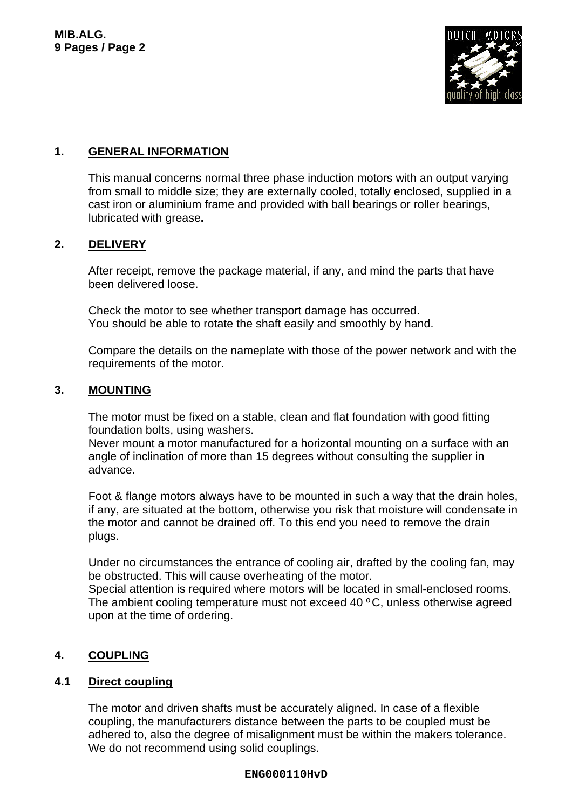

## **1. GENERAL INFORMATION**

This manual concerns normal three phase induction motors with an output varying from small to middle size; they are externally cooled, totally enclosed, supplied in a cast iron or aluminium frame and provided with ball bearings or roller bearings, lubricated with grease**.**

## **2. DELIVERY**

After receipt, remove the package material, if any, and mind the parts that have been delivered loose.

Check the motor to see whether transport damage has occurred. You should be able to rotate the shaft easily and smoothly by hand.

Compare the details on the nameplate with those of the power network and with the requirements of the motor.

#### **3. MOUNTING**

The motor must be fixed on a stable, clean and flat foundation with good fitting foundation bolts, using washers.

Never mount a motor manufactured for a horizontal mounting on a surface with an angle of inclination of more than 15 degrees without consulting the supplier in advance.

Foot & flange motors always have to be mounted in such a way that the drain holes, if any, are situated at the bottom, otherwise you risk that moisture will condensate in the motor and cannot be drained off. To this end you need to remove the drain plugs.

Under no circumstances the entrance of cooling air, drafted by the cooling fan, may be obstructed. This will cause overheating of the motor.

Special attention is required where motors will be located in small-enclosed rooms. The ambient cooling temperature must not exceed 40 ºC, unless otherwise agreed upon at the time of ordering.

## **4. COUPLING**

#### **4.1 Direct coupling**

The motor and driven shafts must be accurately aligned. In case of a flexible coupling, the manufacturers distance between the parts to be coupled must be adhered to, also the degree of misalignment must be within the makers tolerance. We do not recommend using solid couplings.

#### **ENG000110HvD**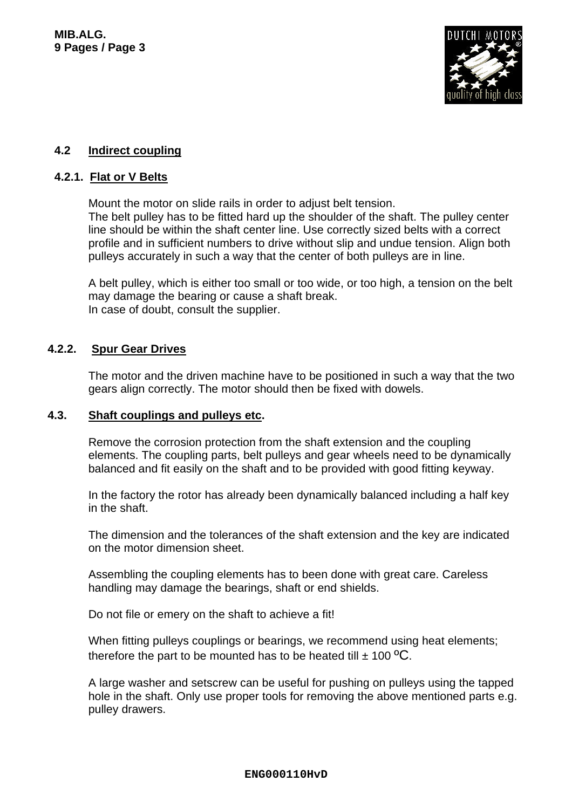

### **4.2 Indirect coupling**

#### **4.2.1. Flat or V Belts**

Mount the motor on slide rails in order to adjust belt tension. The belt pulley has to be fitted hard up the shoulder of the shaft. The pulley center line should be within the shaft center line. Use correctly sized belts with a correct profile and in sufficient numbers to drive without slip and undue tension. Align both pulleys accurately in such a way that the center of both pulleys are in line.

A belt pulley, which is either too small or too wide, or too high, a tension on the belt may damage the bearing or cause a shaft break. In case of doubt, consult the supplier.

### **4.2.2. Spur Gear Drives**

The motor and the driven machine have to be positioned in such a way that the two gears align correctly. The motor should then be fixed with dowels.

#### **4.3. Shaft couplings and pulleys etc.**

Remove the corrosion protection from the shaft extension and the coupling elements. The coupling parts, belt pulleys and gear wheels need to be dynamically balanced and fit easily on the shaft and to be provided with good fitting keyway.

In the factory the rotor has already been dynamically balanced including a half key in the shaft.

The dimension and the tolerances of the shaft extension and the key are indicated on the motor dimension sheet.

Assembling the coupling elements has to been done with great care. Careless handling may damage the bearings, shaft or end shields.

Do not file or emery on the shaft to achieve a fit!

When fitting pulleys couplings or bearings, we recommend using heat elements; therefore the part to be mounted has to be heated till  $\pm$  100 °C.

A large washer and setscrew can be useful for pushing on pulleys using the tapped hole in the shaft. Only use proper tools for removing the above mentioned parts e.g. pulley drawers.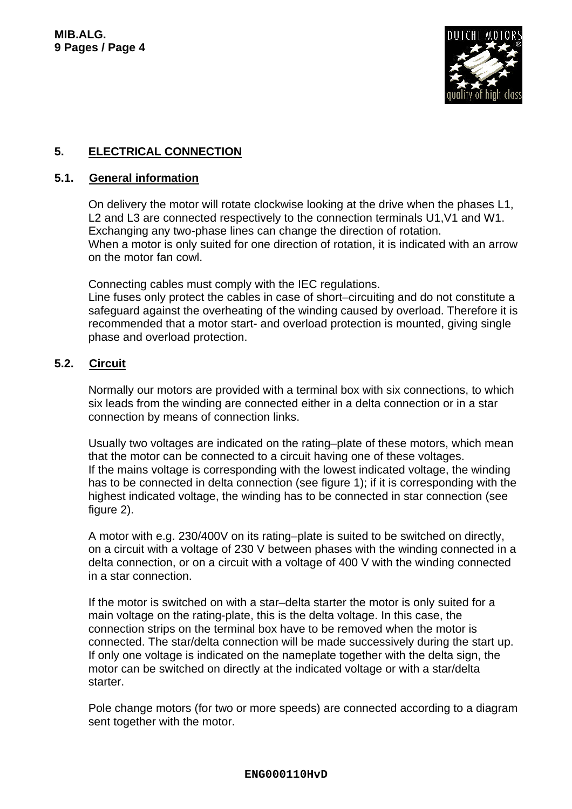

## **5. ELECTRICAL CONNECTION**

#### **5.1. General information**

On delivery the motor will rotate clockwise looking at the drive when the phases L1, L2 and L3 are connected respectively to the connection terminals U1, V1 and W1. Exchanging any two-phase lines can change the direction of rotation. When a motor is only suited for one direction of rotation, it is indicated with an arrow on the motor fan cowl.

Connecting cables must comply with the IEC regulations. Line fuses only protect the cables in case of short–circuiting and do not constitute a safeguard against the overheating of the winding caused by overload. Therefore it is recommended that a motor start- and overload protection is mounted, giving single phase and overload protection.

## **5.2. Circuit**

Normally our motors are provided with a terminal box with six connections, to which six leads from the winding are connected either in a delta connection or in a star connection by means of connection links.

Usually two voltages are indicated on the rating–plate of these motors, which mean that the motor can be connected to a circuit having one of these voltages. If the mains voltage is corresponding with the lowest indicated voltage, the winding has to be connected in delta connection (see figure 1); if it is corresponding with the highest indicated voltage, the winding has to be connected in star connection (see figure 2).

A motor with e.g. 230/400V on its rating–plate is suited to be switched on directly, on a circuit with a voltage of 230 V between phases with the winding connected in a delta connection, or on a circuit with a voltage of 400 V with the winding connected in a star connection.

If the motor is switched on with a star–delta starter the motor is only suited for a main voltage on the rating-plate, this is the delta voltage. In this case, the connection strips on the terminal box have to be removed when the motor is connected. The star/delta connection will be made successively during the start up. If only one voltage is indicated on the nameplate together with the delta sign, the motor can be switched on directly at the indicated voltage or with a star/delta starter.

Pole change motors (for two or more speeds) are connected according to a diagram sent together with the motor.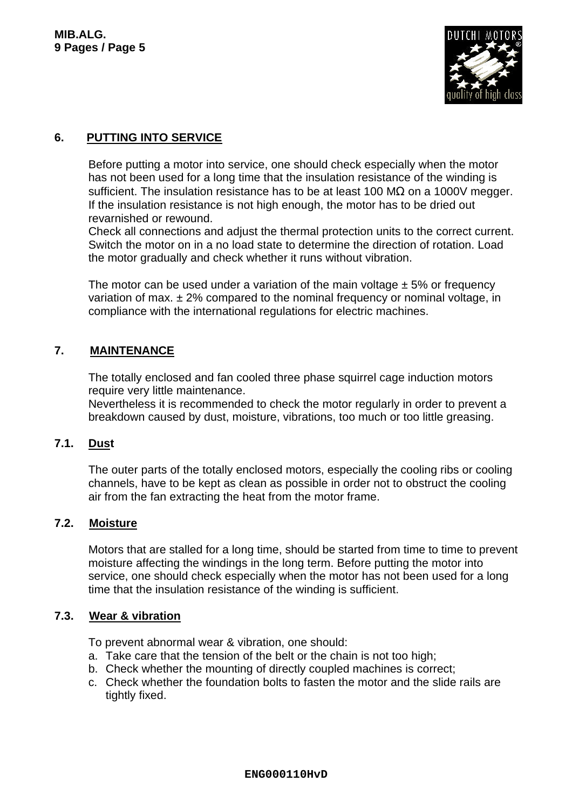

## **6. PUTTING INTO SERVICE**

Before putting a motor into service, one should check especially when the motor has not been used for a long time that the insulation resistance of the winding is sufficient. The insulation resistance has to be at least 100 M $\Omega$  on a 1000V megger. If the insulation resistance is not high enough, the motor has to be dried out revarnished or rewound.

Check all connections and adjust the thermal protection units to the correct current. Switch the motor on in a no load state to determine the direction of rotation. Load the motor gradually and check whether it runs without vibration.

The motor can be used under a variation of the main voltage  $\pm$  5% or frequency variation of max.  $\pm 2\%$  compared to the nominal frequency or nominal voltage, in compliance with the international regulations for electric machines.

### **7. MAINTENANCE**

The totally enclosed and fan cooled three phase squirrel cage induction motors require very little maintenance.

Nevertheless it is recommended to check the motor regularly in order to prevent a breakdown caused by dust, moisture, vibrations, too much or too little greasing.

#### **7.1. Dust**

The outer parts of the totally enclosed motors, especially the cooling ribs or cooling channels, have to be kept as clean as possible in order not to obstruct the cooling air from the fan extracting the heat from the motor frame.

#### **7.2. Moisture**

Motors that are stalled for a long time, should be started from time to time to prevent moisture affecting the windings in the long term. Before putting the motor into service, one should check especially when the motor has not been used for a long time that the insulation resistance of the winding is sufficient.

#### **7.3. Wear & vibration**

To prevent abnormal wear & vibration, one should:

- a. Take care that the tension of the belt or the chain is not too high;
- b. Check whether the mounting of directly coupled machines is correct;
- c. Check whether the foundation bolts to fasten the motor and the slide rails are tightly fixed.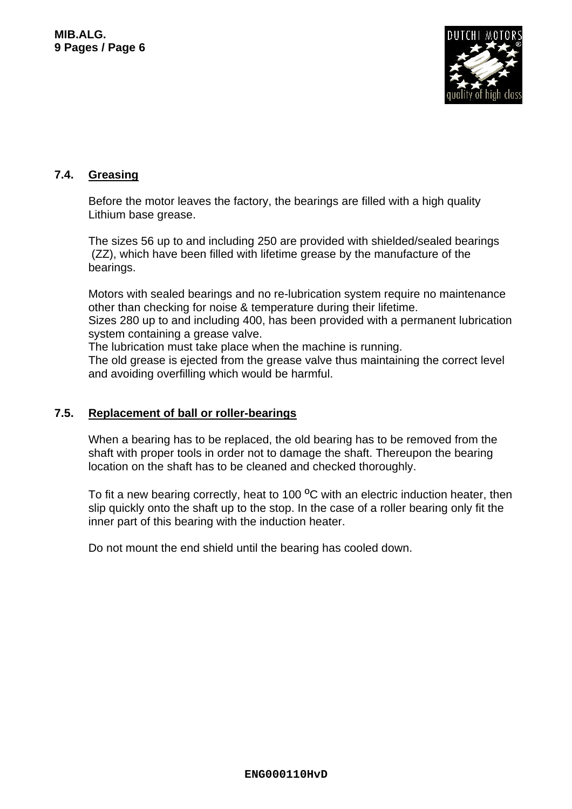

## **7.4. Greasing**

Before the motor leaves the factory, the bearings are filled with a high quality Lithium base grease.

The sizes 56 up to and including 250 are provided with shielded/sealed bearings (ZZ), which have been filled with lifetime grease by the manufacture of the bearings.

Motors with sealed bearings and no re-lubrication system require no maintenance other than checking for noise & temperature during their lifetime.

Sizes 280 up to and including 400, has been provided with a permanent lubrication system containing a grease valve.

The lubrication must take place when the machine is running.

The old grease is ejected from the grease valve thus maintaining the correct level and avoiding overfilling which would be harmful.

#### **7.5. Replacement of ball or roller-bearings**

When a bearing has to be replaced, the old bearing has to be removed from the shaft with proper tools in order not to damage the shaft. Thereupon the bearing location on the shaft has to be cleaned and checked thoroughly.

To fit a new bearing correctly, heat to 100 <sup>o</sup>C with an electric induction heater, then slip quickly onto the shaft up to the stop. In the case of a roller bearing only fit the inner part of this bearing with the induction heater.

Do not mount the end shield until the bearing has cooled down.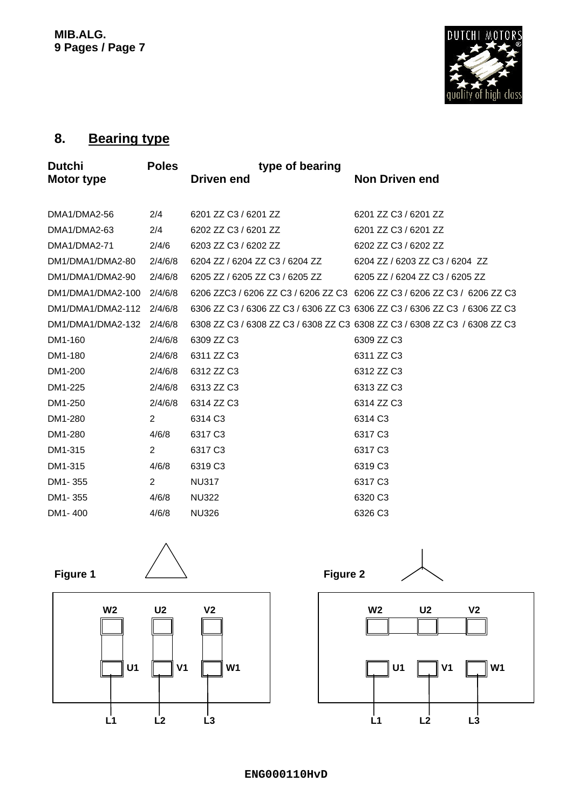

# **8. Bearing type**

| <b>Dutchi</b>     | <b>Poles</b>   | type of bearing                |                                                                           |
|-------------------|----------------|--------------------------------|---------------------------------------------------------------------------|
| <b>Motor type</b> |                | <b>Driven end</b>              | <b>Non Driven end</b>                                                     |
|                   |                |                                |                                                                           |
| DMA1/DMA2-56      | 2/4            | 6201 ZZ C3 / 6201 ZZ           | 6201 ZZ C3 / 6201 ZZ                                                      |
| DMA1/DMA2-63      | 2/4            | 6202 ZZ C3 / 6201 ZZ           | 6201 ZZ C3 / 6201 ZZ                                                      |
| DMA1/DMA2-71      | 2/4/6          | 6203 ZZ C3 / 6202 ZZ           | 6202 ZZ C3 / 6202 ZZ                                                      |
| DM1/DMA1/DMA2-80  | 2/4/6/8        | 6204 ZZ / 6204 ZZ C3 / 6204 ZZ | 6204 ZZ / 6203 ZZ C3 / 6204 ZZ                                            |
| DM1/DMA1/DMA2-90  | 2/4/6/8        | 6205 ZZ / 6205 ZZ C3 / 6205 ZZ | 6205 ZZ / 6204 ZZ C3 / 6205 ZZ                                            |
| DM1/DMA1/DMA2-100 | 2/4/6/8        |                                | 6206 ZZC3 / 6206 ZZ C3 / 6206 ZZ C3 6206 ZZ C3 / 6206 ZZ C3 / 6206 ZZ C3  |
| DM1/DMA1/DMA2-112 | 2/4/6/8        |                                | 6306 ZZ C3 / 6306 ZZ C3 / 6306 ZZ C3 6306 ZZ C3 / 6306 ZZ C3 / 6306 ZZ C3 |
| DM1/DMA1/DMA2-132 | 2/4/6/8        |                                | 6308 ZZ C3 / 6308 ZZ C3 / 6308 ZZ C3 6308 ZZ C3 / 6308 ZZ C3 / 6308 ZZ C3 |
| DM1-160           | 2/4/6/8        | 6309 ZZ C3                     | 6309 ZZ C3                                                                |
| DM1-180           | 2/4/6/8        | 6311 ZZ C3                     | 6311 ZZ C3                                                                |
| DM1-200           | 2/4/6/8        | 6312 ZZ C3                     | 6312 ZZ C3                                                                |
| DM1-225           | 2/4/6/8        | 6313 ZZ C3                     | 6313 ZZ C3                                                                |
| DM1-250           | 2/4/6/8        | 6314 ZZ C3                     | 6314 ZZ C3                                                                |
| DM1-280           | $\overline{2}$ | 6314 C3                        | 6314 C3                                                                   |
| DM1-280           | 4/6/8          | 6317 C <sub>3</sub>            | 6317 C <sub>3</sub>                                                       |
| DM1-315           | $\overline{2}$ | 6317 C <sub>3</sub>            | 6317 C3                                                                   |
| DM1-315           | 4/6/8          | 6319 C3                        | 6319 C3                                                                   |
| DM1-355           | $\overline{2}$ | <b>NU317</b>                   | 6317 C3                                                                   |
| DM1-355           | 4/6/8          | <b>NU322</b>                   | 6320 C3                                                                   |
| DM1-400           | 4/6/8          | <b>NU326</b>                   | 6326 C3                                                                   |

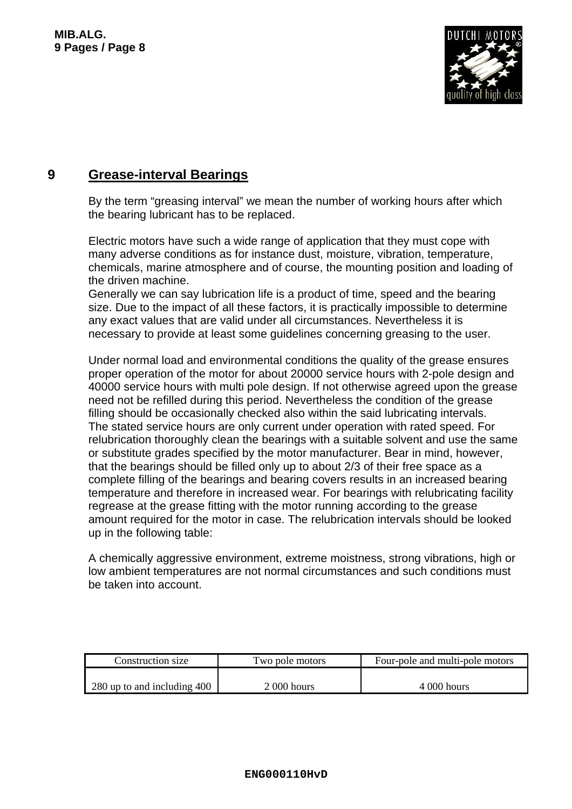

## **9 Grease-interval Bearings**

By the term "greasing interval" we mean the number of working hours after which the bearing lubricant has to be replaced.

Electric motors have such a wide range of application that they must cope with many adverse conditions as for instance dust, moisture, vibration, temperature, chemicals, marine atmosphere and of course, the mounting position and loading of the driven machine.

Generally we can say lubrication life is a product of time, speed and the bearing size. Due to the impact of all these factors, it is practically impossible to determine any exact values that are valid under all circumstances. Nevertheless it is necessary to provide at least some guidelines concerning greasing to the user.

Under normal load and environmental conditions the quality of the grease ensures proper operation of the motor for about 20000 service hours with 2-pole design and 40000 service hours with multi pole design. If not otherwise agreed upon the grease need not be refilled during this period. Nevertheless the condition of the grease filling should be occasionally checked also within the said lubricating intervals. The stated service hours are only current under operation with rated speed. For relubrication thoroughly clean the bearings with a suitable solvent and use the same or substitute grades specified by the motor manufacturer. Bear in mind, however, that the bearings should be filled only up to about 2/3 of their free space as a complete filling of the bearings and bearing covers results in an increased bearing temperature and therefore in increased wear. For bearings with relubricating facility regrease at the grease fitting with the motor running according to the grease amount required for the motor in case. The relubrication intervals should be looked up in the following table:

A chemically aggressive environment, extreme moistness, strong vibrations, high or low ambient temperatures are not normal circumstances and such conditions must be taken into account.

| Construction size           | Two pole motors | Four-pole and multi-pole motors |
|-----------------------------|-----------------|---------------------------------|
|                             |                 |                                 |
| 280 up to and including 400 | 2 000 hours     | $4000$ hours                    |